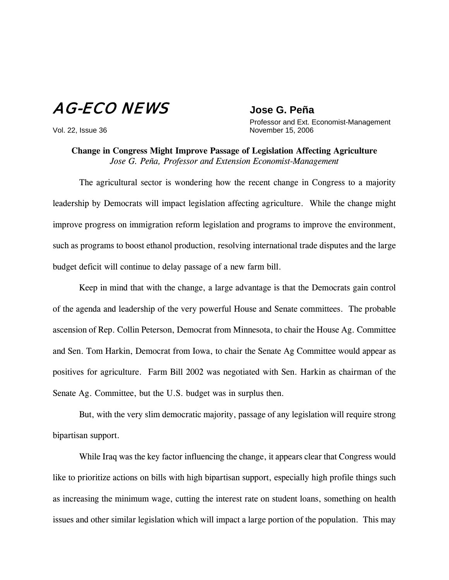## AG-ECO NEWS **Jose G. Peña**

 Professor and Ext. Economist-Management Vol. 22, Issue 36 November 15, 2006

**Change in Congress Might Improve Passage of Legislation Affecting Agriculture** *Jose G. Peña, Professor and Extension Economist-Management*

The agricultural sector is wondering how the recent change in Congress to a majority leadership by Democrats will impact legislation affecting agriculture. While the change might improve progress on immigration reform legislation and programs to improve the environment, such as programs to boost ethanol production, resolving international trade disputes and the large budget deficit will continue to delay passage of a new farm bill.

Keep in mind that with the change, a large advantage is that the Democrats gain control of the agenda and leadership of the very powerful House and Senate committees. The probable ascension of Rep. Collin Peterson, Democrat from Minnesota, to chair the House Ag. Committee and Sen. Tom Harkin, Democrat from Iowa, to chair the Senate Ag Committee would appear as positives for agriculture. Farm Bill 2002 was negotiated with Sen. Harkin as chairman of the Senate Ag. Committee, but the U.S. budget was in surplus then.

But, with the very slim democratic majority, passage of any legislation will require strong bipartisan support.

While Iraq was the key factor influencing the change, it appears clear that Congress would like to prioritize actions on bills with high bipartisan support, especially high profile things such as increasing the minimum wage, cutting the interest rate on student loans, something on health issues and other similar legislation which will impact a large portion of the population. This may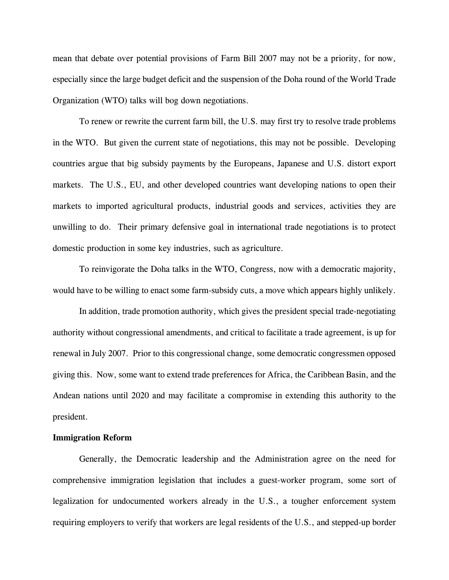mean that debate over potential provisions of Farm Bill 2007 may not be a priority, for now, especially since the large budget deficit and the suspension of the Doha round of the World Trade Organization (WTO) talks will bog down negotiations.

To renew or rewrite the current farm bill, the U.S. may first try to resolve trade problems in the WTO. But given the current state of negotiations, this may not be possible. Developing countries argue that big subsidy payments by the Europeans, Japanese and U.S. distort export markets. The U.S., EU, and other developed countries want developing nations to open their markets to imported agricultural products, industrial goods and services, activities they are unwilling to do. Their primary defensive goal in international trade negotiations is to protect domestic production in some key industries, such as agriculture.

To reinvigorate the Doha talks in the WTO, Congress, now with a democratic majority, would have to be willing to enact some farm-subsidy cuts, a move which appears highly unlikely.

In addition, trade promotion authority, which gives the president special trade-negotiating authority without congressional amendments, and critical to facilitate a trade agreement, is up for renewal in July 2007. Prior to this congressional change, some democratic congressmen opposed giving this. Now, some want to extend trade preferences for Africa, the Caribbean Basin, and the Andean nations until 2020 and may facilitate a compromise in extending this authority to the president.

## **Immigration Reform**

Generally, the Democratic leadership and the Administration agree on the need for comprehensive immigration legislation that includes a guest-worker program, some sort of legalization for undocumented workers already in the U.S., a tougher enforcement system requiring employers to verify that workers are legal residents of the U.S., and stepped-up border